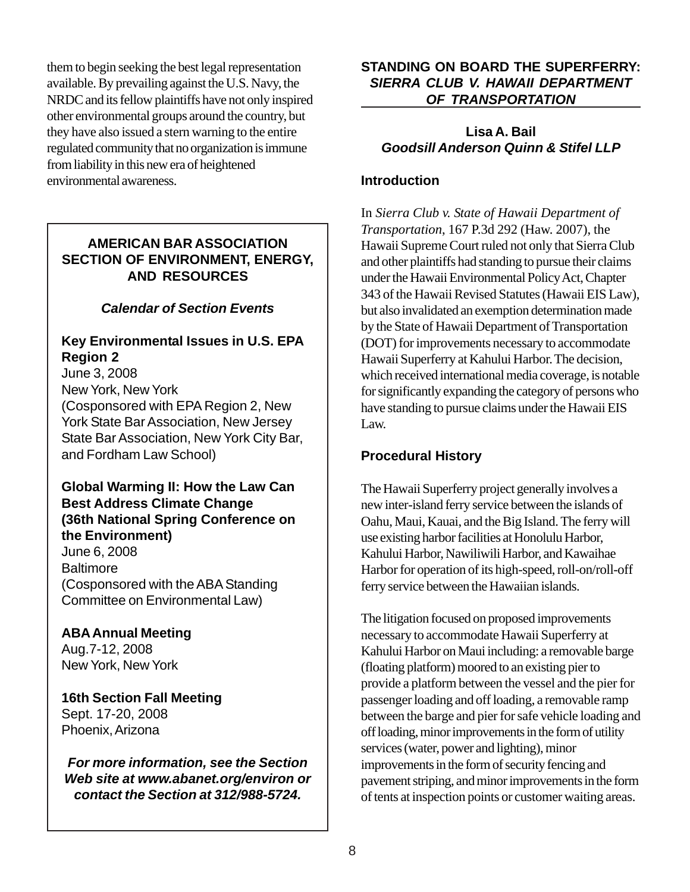them to begin seeking the best legal representation available. By prevailing against the U.S. Navy, the NRDC and its fellow plaintiffs have not only inspired other environmental groups around the country, but they have also issued a stern warning to the entire regulated community that no organization is immune from liability in this new era of heightened environmental awareness.

#### **AMERICAN BAR ASSOCIATION SECTION OF ENVIRONMENT, ENERGY, AND RESOURCES**

## *Calendar of Section Events*

### **Key Environmental Issues in U.S. EPA Region 2**

June 3, 2008 New York, New York (Cosponsored with EPA Region 2, New York State Bar Association, New Jersey State Bar Association, New York City Bar, and Fordham Law School)

### **Global Warming II: How the Law Can Best Address Climate Change (36th National Spring Conference on the Environment)** June 6, 2008 **Baltimore** (Cosponsored with the ABA Standing Committee on Environmental Law)

**ABA Annual Meeting** Aug.7-12, 2008 New York, New York

**16th Section Fall Meeting** Sept. 17-20, 2008 Phoenix, Arizona

*For more information, see the Section Web site at www.abanet.org/environ or contact the Section at 312/988-5724.*

#### **STANDING ON BOARD THE SUPERFERRY:** *SIERRA CLUB V. HAWAII DEPARTMENT OF TRANSPORTATION*

### **Lisa A. Bail** *Goodsill Anderson Quinn & Stifel LLP*

#### **Introduction**

In *Sierra Club v. State of Hawaii Department of Transportation*, 167 P.3d 292 (Haw. 2007), the Hawaii Supreme Court ruled not only that Sierra Club and other plaintiffs had standing to pursue their claims under the Hawaii Environmental Policy Act, Chapter 343 of the Hawaii Revised Statutes (Hawaii EIS Law), but also invalidated an exemption determination made by the State of Hawaii Department of Transportation (DOT) for improvements necessary to accommodate Hawaii Superferry at Kahului Harbor. The decision, which received international media coverage, is notable for significantly expanding the category of persons who have standing to pursue claims under the Hawaii EIS Law.

## **Procedural History**

The Hawaii Superferry project generally involves a new inter-island ferry service between the islands of Oahu, Maui, Kauai, and the Big Island. The ferry will use existing harbor facilities at Honolulu Harbor, Kahului Harbor, Nawiliwili Harbor, and Kawaihae Harbor for operation of its high-speed, roll-on/roll-off ferry service between the Hawaiian islands.

The litigation focused on proposed improvements necessary to accommodate Hawaii Superferry at Kahului Harbor on Maui including: a removable barge (floating platform) moored to an existing pier to provide a platform between the vessel and the pier for passenger loading and off loading, a removable ramp between the barge and pier for safe vehicle loading and off loading, minor improvements in the form of utility services (water, power and lighting), minor improvements in the form of security fencing and pavement striping, and minor improvements in the form of tents at inspection points or customer waiting areas.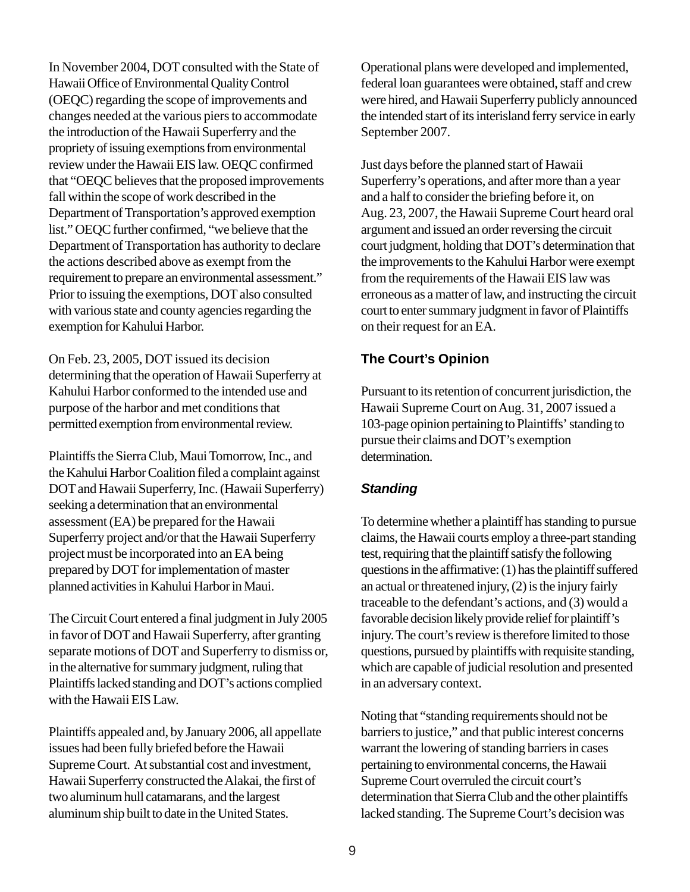In November 2004, DOT consulted with the State of Hawaii Office of Environmental Quality Control (OEQC) regarding the scope of improvements and changes needed at the various piers to accommodate the introduction of the Hawaii Superferry and the propriety of issuing exemptions from environmental review under the Hawaii EIS law. OEQC confirmed that "OEQC believes that the proposed improvements fall within the scope of work described in the Department of Transportation's approved exemption list." OEQC further confirmed, "we believe that the Department of Transportation has authority to declare the actions described above as exempt from the requirement to prepare an environmental assessment." Prior to issuing the exemptions, DOT also consulted with various state and county agencies regarding the exemption for Kahului Harbor.

On Feb. 23, 2005, DOT issued its decision determining that the operation of Hawaii Superferry at Kahului Harbor conformed to the intended use and purpose of the harbor and met conditions that permitted exemption from environmental review.

Plaintiffs the Sierra Club, Maui Tomorrow, Inc., and the Kahului Harbor Coalition filed a complaint against DOT and Hawaii Superferry, Inc. (Hawaii Superferry) seeking a determination that an environmental assessment (EA) be prepared for the Hawaii Superferry project and/or that the Hawaii Superferry project must be incorporated into an EA being prepared by DOT for implementation of master planned activities in Kahului Harbor in Maui.

The Circuit Court entered a final judgment in July 2005 in favor of DOT and Hawaii Superferry, after granting separate motions of DOT and Superferry to dismiss or, in the alternative for summary judgment, ruling that Plaintiffs lacked standing and DOT's actions complied with the Hawaii EIS Law.

Plaintiffs appealed and, by January 2006, all appellate issues had been fully briefed before the Hawaii Supreme Court. At substantial cost and investment, Hawaii Superferry constructed the Alakai, the first of two aluminum hull catamarans, and the largest aluminum ship built to date in the United States.

Operational plans were developed and implemented, federal loan guarantees were obtained, staff and crew were hired, and Hawaii Superferry publicly announced the intended start of its interisland ferry service in early September 2007.

Just days before the planned start of Hawaii Superferry's operations, and after more than a year and a half to consider the briefing before it, on Aug. 23, 2007, the Hawaii Supreme Court heard oral argument and issued an order reversing the circuit court judgment, holding that DOT's determination that the improvements to the Kahului Harbor were exempt from the requirements of the Hawaii EIS law was erroneous as a matter of law, and instructing the circuit court to enter summary judgment in favor of Plaintiffs on their request for an EA.

### **The Court's Opinion**

Pursuant to its retention of concurrent jurisdiction, the Hawaii Supreme Court on Aug. 31, 2007 issued a 103-page opinion pertaining to Plaintiffs' standing to pursue their claims and DOT's exemption determination.

## *Standing*

To determine whether a plaintiff has standing to pursue claims, the Hawaii courts employ a three-part standing test, requiring that the plaintiff satisfy the following questions in the affirmative: (1) has the plaintiff suffered an actual or threatened injury, (2) is the injury fairly traceable to the defendant's actions, and (3) would a favorable decision likely provide relief for plaintiff's injury. The court's review is therefore limited to those questions, pursued by plaintiffs with requisite standing, which are capable of judicial resolution and presented in an adversary context.

Noting that "standing requirements should not be barriers to justice," and that public interest concerns warrant the lowering of standing barriers in cases pertaining to environmental concerns, the Hawaii Supreme Court overruled the circuit court's determination that Sierra Club and the other plaintiffs lacked standing. The Supreme Court's decision was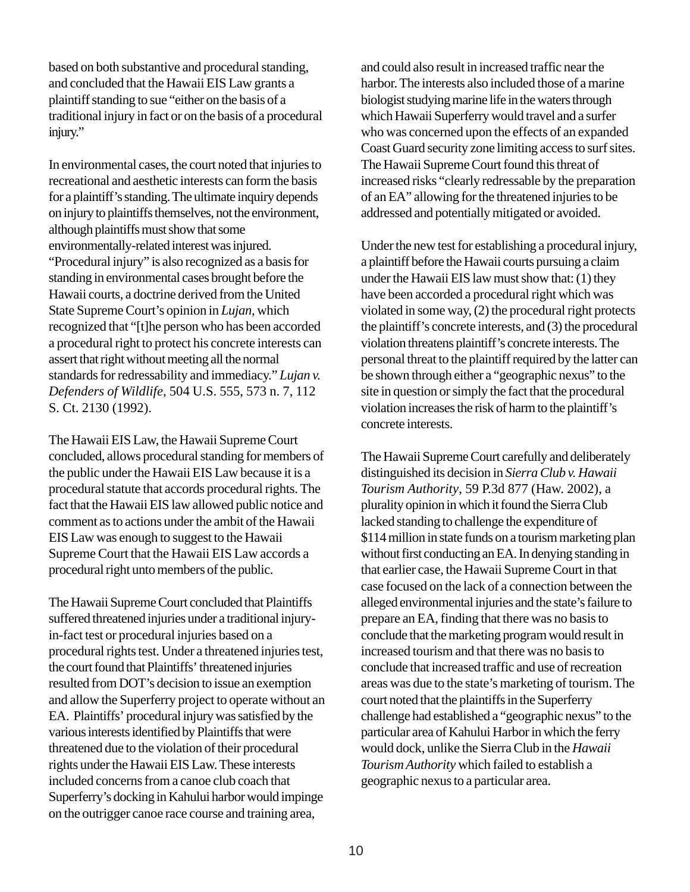based on both substantive and procedural standing, and concluded that the Hawaii EIS Law grants a plaintiff standing to sue "either on the basis of a traditional injury in fact or on the basis of a procedural injury."

In environmental cases, the court noted that injuries to recreational and aesthetic interests can form the basis for a plaintiff's standing. The ultimate inquiry depends on injury to plaintiffs themselves, not the environment, although plaintiffs must show that some environmentally-related interest was injured. "Procedural injury" is also recognized as a basis for standing in environmental cases brought before the Hawaii courts, a doctrine derived from the United State Supreme Court's opinion in *Lujan*, which recognized that "[t]he person who has been accorded a procedural right to protect his concrete interests can assert that right without meeting all the normal standards for redressability and immediacy." *Lujan v. Defenders of Wildlife*, 504 U.S. 555, 573 n. 7, 112 S. Ct. 2130 (1992).

The Hawaii EIS Law, the Hawaii Supreme Court concluded, allows procedural standing for members of the public under the Hawaii EIS Law because it is a procedural statute that accords procedural rights. The fact that the Hawaii EIS law allowed public notice and comment as to actions under the ambit of the Hawaii EIS Law was enough to suggest to the Hawaii Supreme Court that the Hawaii EIS Law accords a procedural right unto members of the public.

The Hawaii Supreme Court concluded that Plaintiffs suffered threatened injuries under a traditional injuryin-fact test or procedural injuries based on a procedural rights test. Under a threatened injuries test, the court found that Plaintiffs' threatened injuries resulted from DOT's decision to issue an exemption and allow the Superferry project to operate without an EA. Plaintiffs' procedural injury was satisfied by the various interests identified by Plaintiffs that were threatened due to the violation of their procedural rights under the Hawaii EIS Law. These interests included concerns from a canoe club coach that Superferry's docking in Kahului harbor would impinge on the outrigger canoe race course and training area,

and could also result in increased traffic near the harbor. The interests also included those of a marine biologist studying marine life in the waters through which Hawaii Superferry would travel and a surfer who was concerned upon the effects of an expanded Coast Guard security zone limiting access to surf sites. The Hawaii Supreme Court found this threat of increased risks "clearly redressable by the preparation of an EA" allowing for the threatened injuries to be addressed and potentially mitigated or avoided.

Under the new test for establishing a procedural injury, a plaintiff before the Hawaii courts pursuing a claim under the Hawaii EIS law must show that: (1) they have been accorded a procedural right which was violated in some way, (2) the procedural right protects the plaintiff's concrete interests, and (3) the procedural violation threatens plaintiff's concrete interests. The personal threat to the plaintiff required by the latter can be shown through either a "geographic nexus" to the site in question or simply the fact that the procedural violation increases the risk of harm to the plaintiff's concrete interests.

The Hawaii Supreme Court carefully and deliberately distinguished its decision in *Sierra Club v. Hawaii Tourism Authority*, 59 P.3d 877 (Haw. 2002), a plurality opinion in which it found the Sierra Club lacked standing to challenge the expenditure of \$114 million in state funds on a tourism marketing plan without first conducting an EA. In denying standing in that earlier case, the Hawaii Supreme Court in that case focused on the lack of a connection between the alleged environmental injuries and the state's failure to prepare an EA, finding that there was no basis to conclude that the marketing program would result in increased tourism and that there was no basis to conclude that increased traffic and use of recreation areas was due to the state's marketing of tourism. The court noted that the plaintiffs in the Superferry challenge had established a "geographic nexus" to the particular area of Kahului Harbor in which the ferry would dock, unlike the Sierra Club in the *Hawaii Tourism Authority* which failed to establish a geographic nexus to a particular area.